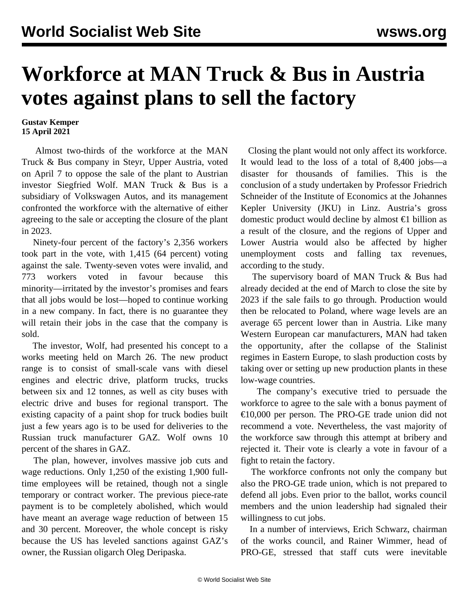## **Workforce at MAN Truck & Bus in Austria votes against plans to sell the factory**

## **Gustav Kemper 15 April 2021**

 Almost two-thirds of the workforce at the MAN Truck & Bus company in Steyr, Upper Austria, voted on April 7 to oppose the sale of the plant to Austrian investor Siegfried Wolf. MAN Truck & Bus is a subsidiary of Volkswagen Autos, and its management confronted the workforce with the alternative of either agreeing to the sale or accepting the closure of the plant in 2023.

 Ninety-four percent of the factory's 2,356 workers took part in the vote, with 1,415 (64 percent) voting against the sale. Twenty-seven votes were invalid, and 773 workers voted in favour because this minority—irritated by the investor's promises and fears that all jobs would be lost—hoped to continue working in a new company. In fact, there is no guarantee they will retain their jobs in the case that the company is sold.

 The investor, Wolf, had presented his concept to a works meeting held on March 26. The new product range is to consist of small-scale vans with diesel engines and electric drive, platform trucks, trucks between six and 12 tonnes, as well as city buses with electric drive and buses for regional transport. The existing capacity of a paint shop for truck bodies built just a few years ago is to be used for deliveries to the Russian truck manufacturer GAZ. Wolf owns 10 percent of the shares in GAZ.

 The plan, however, involves massive job cuts and wage reductions. Only 1,250 of the existing 1,900 fulltime employees will be retained, though not a single temporary or contract worker. The previous piece-rate payment is to be completely abolished, which would have meant an average wage reduction of between 15 and 30 percent. Moreover, the whole concept is risky because the US has leveled sanctions against GAZ's owner, the Russian oligarch Oleg Deripaska.

 Closing the plant would not only affect its workforce. It would lead to the loss of a total of 8,400 jobs—a disaster for thousands of families. This is the conclusion of a study undertaken by Professor Friedrich Schneider of the Institute of Economics at the Johannes Kepler University (JKU) in Linz. Austria's gross domestic product would decline by almost  $\epsilon$ 1 billion as a result of the closure, and the regions of Upper and Lower Austria would also be affected by higher unemployment costs and falling tax revenues, according to the study.

 The supervisory board of MAN Truck & Bus had already decided at the end of March to close the site by 2023 if the sale fails to go through. Production would then be relocated to Poland, where wage levels are an average 65 percent lower than in Austria. Like many Western European car manufacturers, MAN had taken the opportunity, after the collapse of the Stalinist regimes in Eastern Europe, to slash production costs by taking over or setting up new production plants in these low-wage countries.

 The company's executive tried to persuade the workforce to agree to the sale with a bonus payment of  $\epsilon$ 10,000 per person. The PRO-GE trade union did not recommend a vote. Nevertheless, the vast majority of the workforce saw through this attempt at bribery and rejected it. Their vote is clearly a vote in favour of a fight to retain the factory.

 The workforce confronts not only the company but also the PRO-GE trade union, which is not prepared to defend all jobs. Even prior to the ballot, works council members and the union leadership had signaled their willingness to cut jobs.

 In a number of interviews, Erich Schwarz, chairman of the works council, and Rainer Wimmer, head of PRO-GE, stressed that staff cuts were inevitable